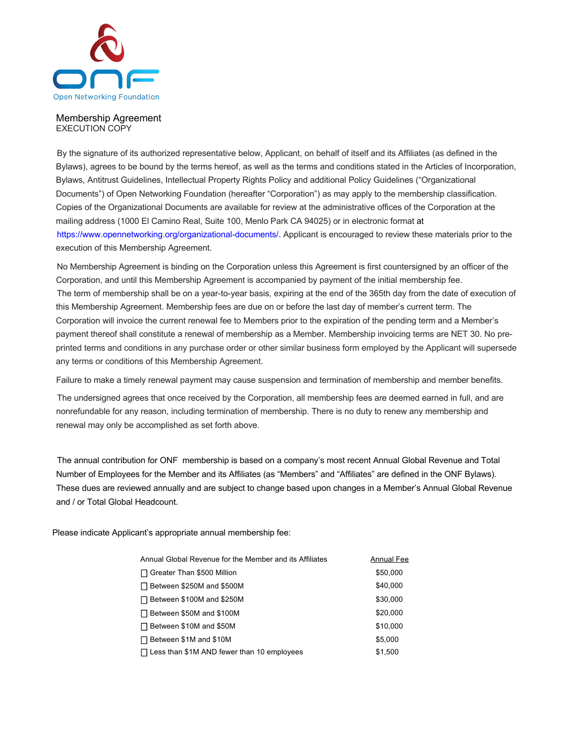

## Membership Agreement EXECUTION COPY

By the signature of its authorized representative below, Applicant, on behalf of itself and its Affiliates (as defined in the Bylaws), agrees to be bound by the terms hereof, as well as the terms and conditions stated in the Articles of Incorporation, Bylaws, Antitrust Guidelines, Intellectual Property Rights Policy and additional Policy Guidelines ("Organizational Documents") of Open Networking Foundation (hereafter "Corporation") as may apply to the membership classification. Copies of the Organizational Documents are available for review at the administrative offices of the Corporation at the mailing address (1000 El Camino Real, Suite 100, Menlo Park CA 94025) or in electronic format at https://www.opennetworking.org/organizational-documents/. Applicant is encouraged to review these materials prior to the execution of this Membership Agreement.

No Membership Agreement is binding on the Corporation unless this Agreement is first countersigned by an officer of the Corporation, and until this Membership Agreement is accompanied by payment of the initial membership fee. The term of membership shall be on a year-to-year basis, expiring at the end of the 365th day from the date of execution of this Membership Agreement. Membership fees are due on or before the last day of member's current term. The Corporation will invoice the current renewal fee to Members prior to the expiration of the pending term and a Member's payment thereof shall constitute a renewal of membership as a Member. Membership invoicing terms are NET 30. No preprinted terms and conditions in any purchase order or other similar business form employed by the Applicant will supersede any terms or conditions of this Membership Agreement.

Failure to make a timely renewal payment may cause suspension and termination of membership and member benefits.

The undersigned agrees that once received by the Corporation, all membership fees are deemed earned in full, and are nonrefundable for any reason, including termination of membership. There is no duty to renew any membership and renewal may only be accomplished as set forth above.

The annual contribution for ONF membership is based on a company's most recent Annual Global Revenue and Total Number of Employees for the Member and its Affiliates (as "Members" and "Affiliates" are defined in the ONF Bylaws). These dues are reviewed annually and are subject to change based upon changes in a Member's Annual Global Revenue and / or Total Global Headcount.

Please indicate Applicant's appropriate annual membership fee:

| Annual Global Revenue for the Member and its Affiliates | Annual Fee |
|---------------------------------------------------------|------------|
| Greater Than \$500 Million                              | \$50,000   |
| Between \$250M and \$500M                               | \$40,000   |
| Between \$100M and \$250M                               | \$30,000   |
| Between \$50M and \$100M                                | \$20,000   |
| Between \$10M and \$50M                                 | \$10,000   |
| Between \$1M and \$10M                                  | \$5,000    |
| Less than \$1M AND fewer than 10 employees              | \$1,500    |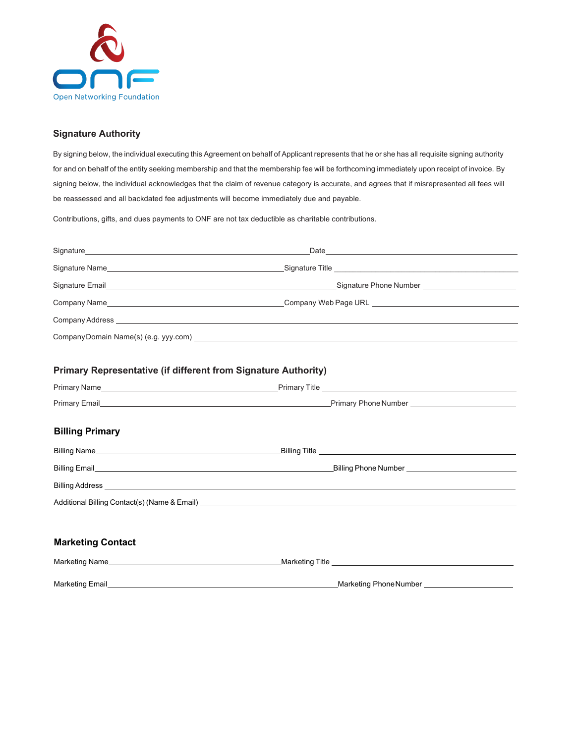

## **Signature Authority**

By signing below, the individual executing this Agreement on behalf of Applicant represents that he or she has all requisite signing authority for and on behalf of the entity seeking membership and that the membership fee will be forthcoming immediately upon receipt of invoice. By signing below, the individual acknowledges that the claim of revenue category is accurate, and agrees that if misrepresented all fees will be reassessed and all backdated fee adjustments will become immediately due and payable.

Contributions, gifts, and dues payments to ONF are not tax deductible as charitable contributions.

| <b>Primary Representative (if different from Signature Authority)</b> |                                                                                                                                                                                                                                     |  |
|-----------------------------------------------------------------------|-------------------------------------------------------------------------------------------------------------------------------------------------------------------------------------------------------------------------------------|--|
|                                                                       |                                                                                                                                                                                                                                     |  |
|                                                                       |                                                                                                                                                                                                                                     |  |
|                                                                       |                                                                                                                                                                                                                                     |  |
| <b>Billing Primary</b>                                                |                                                                                                                                                                                                                                     |  |
|                                                                       | Billing Name <b>Example 2018</b> and 2019 and 2019 and 2019 and 2019 and 2019 and 2019 and 2019 and 2019 and 2019 and 2019 and 2019 and 2019 and 2019 and 2019 and 2019 and 2019 and 2019 and 2019 and 2019 and 2019 and 2019 and 2 |  |
|                                                                       |                                                                                                                                                                                                                                     |  |
|                                                                       |                                                                                                                                                                                                                                     |  |
|                                                                       |                                                                                                                                                                                                                                     |  |
|                                                                       |                                                                                                                                                                                                                                     |  |
| <b>Marketing Contact</b>                                              |                                                                                                                                                                                                                                     |  |
| Marketing Name                                                        |                                                                                                                                                                                                                                     |  |
| Marketing Email                                                       | Marketing Phone Number                                                                                                                                                                                                              |  |